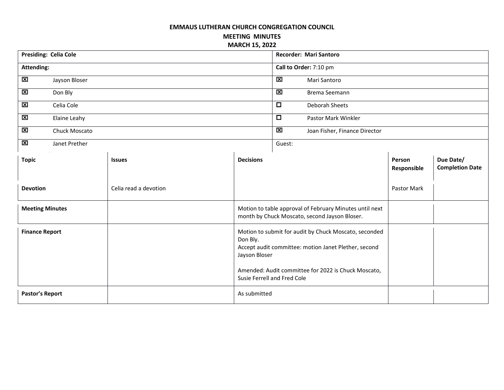## **EMMAUS LUTHERAN CHURCH CONGREGATION COUNCIL**

**MEETING MINUTES MARCH 15, 2022**

| <b>Presiding: Celia Cole</b> |               |                       |                                                                                                                                                                                                                                  | Recorder: Mari Santoro          |             |                       |                                     |
|------------------------------|---------------|-----------------------|----------------------------------------------------------------------------------------------------------------------------------------------------------------------------------------------------------------------------------|---------------------------------|-------------|-----------------------|-------------------------------------|
| <b>Attending:</b>            |               |                       |                                                                                                                                                                                                                                  | Call to Order: 7:10 pm          |             |                       |                                     |
| $\mathbf{\Sigma}$            | Jayson Bloser |                       |                                                                                                                                                                                                                                  | 区<br>Mari Santoro               |             |                       |                                     |
| $\mathbf x$                  | Don Bly       |                       |                                                                                                                                                                                                                                  | ×<br>Brema Seemann              |             |                       |                                     |
| $\boxtimes$                  | Celia Cole    |                       |                                                                                                                                                                                                                                  | $\Box$<br><b>Deborah Sheets</b> |             |                       |                                     |
| $\boxtimes$                  | Elaine Leahy  |                       |                                                                                                                                                                                                                                  | $\Box$<br>Pastor Mark Winkler   |             |                       |                                     |
| 図                            | Chuck Moscato |                       | 図                                                                                                                                                                                                                                | Joan Fisher, Finance Director   |             |                       |                                     |
| $\mathbf{\overline{X}}$      | Janet Prether |                       | Guest:                                                                                                                                                                                                                           |                                 |             |                       |                                     |
| <b>Topic</b>                 |               | <b>Issues</b>         | <b>Decisions</b>                                                                                                                                                                                                                 |                                 |             | Person<br>Responsible | Due Date/<br><b>Completion Date</b> |
| <b>Devotion</b>              |               | Celia read a devotion |                                                                                                                                                                                                                                  |                                 | Pastor Mark |                       |                                     |
| <b>Meeting Minutes</b>       |               |                       | Motion to table approval of February Minutes until next<br>month by Chuck Moscato, second Jayson Bloser.                                                                                                                         |                                 |             |                       |                                     |
| <b>Finance Report</b>        |               |                       | Motion to submit for audit by Chuck Moscato, seconded<br>Don Bly.<br>Accept audit committee: motion Janet Plether, second<br>Jayson Bloser<br>Amended: Audit committee for 2022 is Chuck Moscato,<br>Susie Ferrell and Fred Cole |                                 |             |                       |                                     |
| <b>Pastor's Report</b>       |               |                       | As submitted                                                                                                                                                                                                                     |                                 |             |                       |                                     |